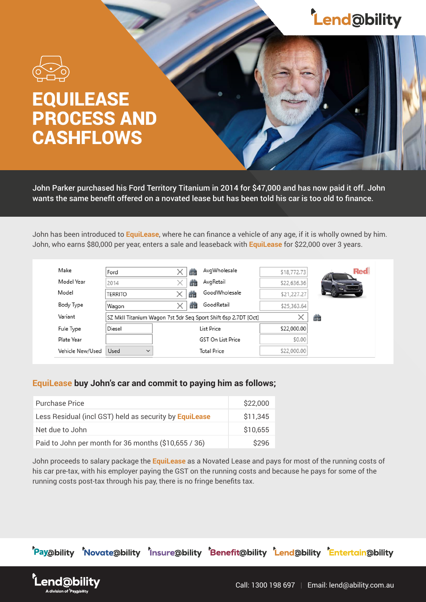## **Lend@bility**



## EQUILEASE PROCESS AND **CASHFLOWS**

John Parker purchased his Ford Territory Titanium in 2014 for \$47,000 and has now paid it off. John wants the same benefit offered on a novated lease but has been told his car is too old to finance.

John has been introduced to **EquiLease**, where he can finance a vehicle of any age, if it is wholly owned by him. John, who earns \$80,000 per year, enters a sale and leaseback with **EquiLease** for \$22,000 over 3 years.

| Make             | Ford                                                           |  | äà | AvgWholesale             | \$18,772.73 | <b>Red</b> |
|------------------|----------------------------------------------------------------|--|----|--------------------------|-------------|------------|
| Model Year       | 2014                                                           |  | άū | AvgRetail                | \$22,636.36 |            |
| Model            | <b>TERRITO</b>                                                 |  | 譱  | GoodWholesale            | \$21,227.27 |            |
| Body Type        | Wagon                                                          |  | άū | GoodRetail               | \$25,363.64 |            |
| Variant          | SZ MkII Titanium Wagon 7st 5dr Seg Sport Shift 6sp 2.7DT [Oct] |  |    |                          |             | 凿          |
| Fule Type        | Diesel                                                         |  |    | List Price               | \$22,000.00 |            |
| Plate Year       |                                                                |  |    | <b>GST On List Price</b> | \$0.00      |            |
| Vehicle New/Used | Used<br>$\checkmark$                                           |  |    | <b>Total Price</b>       | \$22,000.00 |            |

## **EquiLease buy John's car and commit to paying him as follows;**

| <b>Purchase Price</b>                                  | \$22,000 |
|--------------------------------------------------------|----------|
| Less Residual (incl GST) held as security by EquiLease | \$11,345 |
| Net due to John                                        | \$10,655 |
| Paid to John per month for 36 months (\$10,655 / 36)   | \$296    |

John proceeds to salary package the **EquiLease** as a Novated Lease and pays for most of the running costs of his car pre-tax, with his employer paying the GST on the running costs and because he pays for some of the running costs post-tax through his pay, there is no fringe benefits tax.

end@bi

'Pay@bility 'Novate@bility 'Insure@bility 'Benefit@bility 'Lend@bility Entertain@bility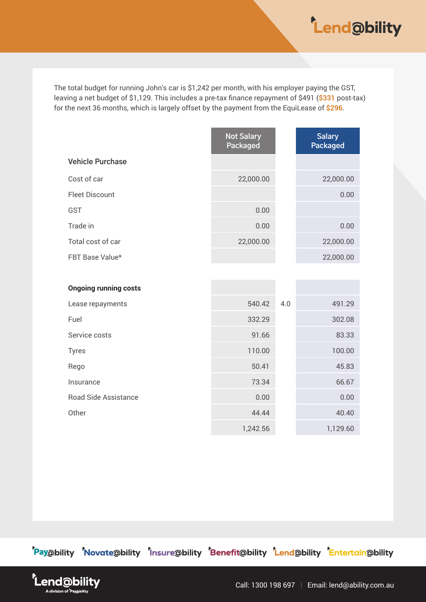

The total budget for running John's car is \$1,242 per month, with his employer paying the GST, leaving a net budget of \$1,129. This includes a pre-tax finance repayment of \$491 (**\$331** post-tax) for the next 36 months, which is largely offset by the payment from the EquiLease of **\$296**.

|                              | <b>Not Salary</b><br>Packaged |     | <b>Salary</b><br><b>Packaged</b> |
|------------------------------|-------------------------------|-----|----------------------------------|
| <b>Vehicle Purchase</b>      |                               |     |                                  |
| Cost of car                  | 22,000.00                     |     | 22,000.00                        |
| <b>Fleet Discount</b>        |                               |     | 0.00                             |
| GST                          | 0.00                          |     |                                  |
| Trade in                     | 0.00                          |     | 0.00                             |
| Total cost of car            | 22,000.00                     |     | 22,000.00                        |
| FBT Base Value*              |                               |     | 22,000.00                        |
|                              |                               |     |                                  |
| <b>Ongoing running costs</b> |                               |     |                                  |
| Lease repayments             | 540.42                        | 4.0 | 491.29                           |
| Fuel                         | 332.29                        |     | 302.08                           |
| Service costs                | 91.66                         |     | 83.33                            |
| <b>Tyres</b>                 | 110.00                        |     | 100.00                           |
| Rego                         | 50.41                         |     | 45.83                            |
| Insurance                    | 73.34                         |     | 66.67                            |
| <b>Road Side Assistance</b>  | 0.00                          |     | 0.00                             |
| Other                        | 44.44                         |     | 40.40                            |
|                              | 1,242.56                      |     | 1,129.60                         |

'Pay@bility 'Novate@bility 'Insure@bility 'Benefit@bility 'Lend@bility 'Entertain@bility

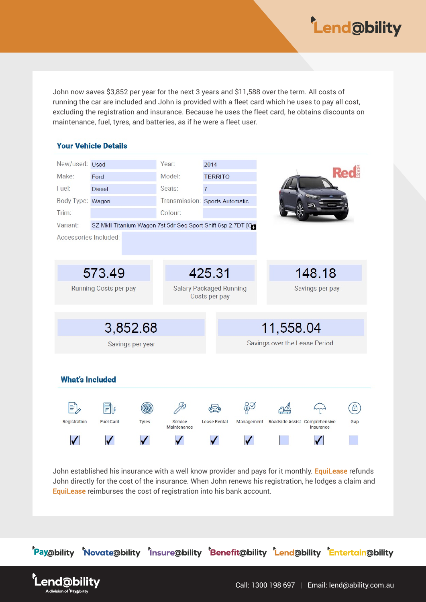

John now saves \$3,852 per year for the next 3 years and \$11,588 over the term. All costs of running the car are included and John is provided with a fleet card which he uses to pay all cost, excluding the registration and insurance. Because he uses the fleet card, he obtains discounts on maintenance, fuel, tyres, and batteries, as if he were a fleet user.



John established his insurance with a well know provider and pays for it monthly. **EquiLease** refunds John directly for the cost of the insurance. When John renews his registration, he lodges a claim and **EquiLease** reimburses the cost of registration into his bank account.



end@bi